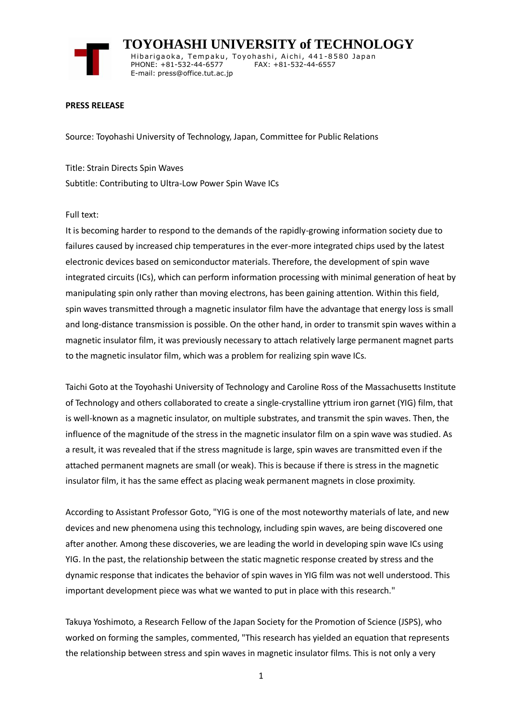

 **TOYOHASHI UNIVERSITY of TECHNOLOGY** Hibarigaoka, Tempaku, Toyohashi, Aichi, 441-8580 Japan PHONE: +81-532-44-6577 FAX: +81-532-44-6557 E-mail: press@office.tut.ac.jp

## **PRESS RELEASE**

Source: Toyohashi University of Technology, Japan, Committee for Public Relations

Title: Strain Directs Spin Waves Subtitle: Contributing to Ultra-Low Power Spin Wave ICs

## Full text:

It is becoming harder to respond to the demands of the rapidly-growing information society due to failures caused by increased chip temperatures in the ever-more integrated chips used by the latest electronic devices based on semiconductor materials. Therefore, the development of spin wave integrated circuits (ICs), which can perform information processing with minimal generation of heat by manipulating spin only rather than moving electrons, has been gaining attention. Within this field, spin waves transmitted through a magnetic insulator film have the advantage that energy loss is small and long-distance transmission is possible. On the other hand, in order to transmit spin waves within a magnetic insulator film, it was previously necessary to attach relatively large permanent magnet parts to the magnetic insulator film, which was a problem for realizing spin wave ICs.

Taichi Goto at the Toyohashi University of Technology and Caroline Ross of the Massachusetts Institute of Technology and others collaborated to create a single-crystalline yttrium iron garnet (YIG) film, that is well-known as a magnetic insulator, on multiple substrates, and transmit the spin waves. Then, the influence of the magnitude of the stress in the magnetic insulator film on a spin wave was studied. As a result, it was revealed that if the stress magnitude is large, spin waves are transmitted even if the attached permanent magnets are small (or weak). This is because if there is stress in the magnetic insulator film, it has the same effect as placing weak permanent magnets in close proximity.

According to Assistant Professor Goto, "YIG is one of the most noteworthy materials of late, and new devices and new phenomena using this technology, including spin waves, are being discovered one after another. Among these discoveries, we are leading the world in developing spin wave ICs using YIG. In the past, the relationship between the static magnetic response created by stress and the dynamic response that indicates the behavior of spin waves in YIG film was not well understood. This important development piece was what we wanted to put in place with this research."

Takuya Yoshimoto, a Research Fellow of the Japan Society for the Promotion of Science (JSPS), who worked on forming the samples, commented, "This research has yielded an equation that represents the relationship between stress and spin waves in magnetic insulator films. This is not only a very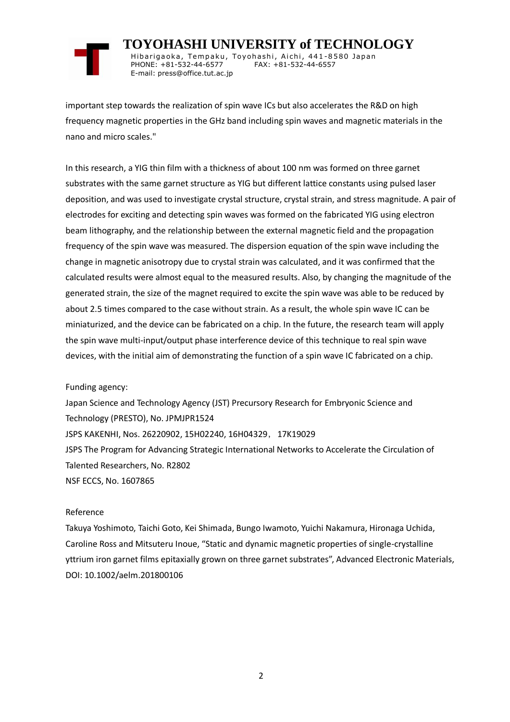

 **TOYOHASHI UNIVERSITY of TECHNOLOGY** Hibarigaoka, Tempaku, Toyohashi, Aichi, 441-8580 Japan PHONE: +81-532-44-6577 FAX: +81-532-44-6557 E-mail: press@office.tut.ac.jp

important step towards the realization of spin wave ICs but also accelerates the R&D on high frequency magnetic properties in the GHz band including spin waves and magnetic materials in the nano and micro scales."

In this research, a YIG thin film with a thickness of about 100 nm was formed on three garnet substrates with the same garnet structure as YIG but different lattice constants using pulsed laser deposition, and was used to investigate crystal structure, crystal strain, and stress magnitude. A pair of electrodes for exciting and detecting spin waves was formed on the fabricated YIG using electron beam lithography, and the relationship between the external magnetic field and the propagation frequency of the spin wave was measured. The dispersion equation of the spin wave including the change in magnetic anisotropy due to crystal strain was calculated, and it was confirmed that the calculated results were almost equal to the measured results. Also, by changing the magnitude of the generated strain, the size of the magnet required to excite the spin wave was able to be reduced by about 2.5 times compared to the case without strain. As a result, the whole spin wave IC can be miniaturized, and the device can be fabricated on a chip. In the future, the research team will apply the spin wave multi-input/output phase interference device of this technique to real spin wave devices, with the initial aim of demonstrating the function of a spin wave IC fabricated on a chip.

Funding agency:

Japan Science and Technology Agency (JST) Precursory Research for Embryonic Science and Technology (PRESTO), No. JPMJPR1524 JSPS KAKENHI, Nos. 26220902, 15H02240, 16H04329,17K19029 JSPS The Program for Advancing Strategic International Networks to Accelerate the Circulation of Talented Researchers, No. R2802 NSF ECCS, No. 1607865

## Reference

Takuya Yoshimoto, Taichi Goto, Kei Shimada, Bungo Iwamoto, Yuichi Nakamura, Hironaga Uchida, Caroline Ross and Mitsuteru Inoue, "Static and dynamic magnetic properties of single-crystalline yttrium iron garnet films epitaxially grown on three garnet substrates", Advanced Electronic Materials, DOI: 10.1002/aelm.201800106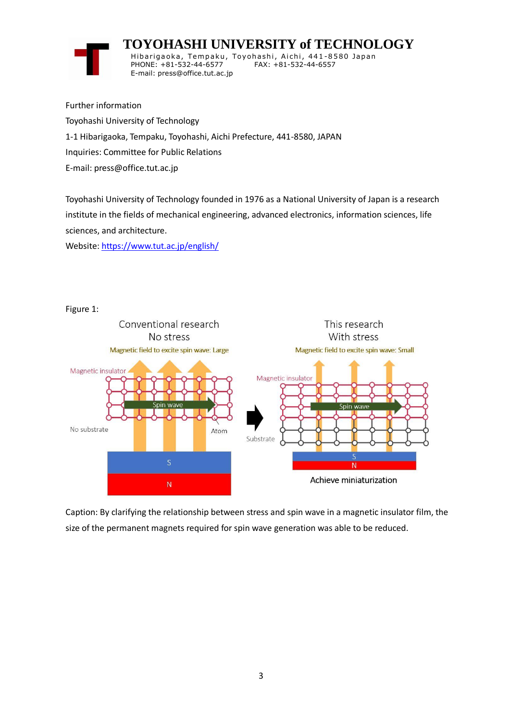## **TOYOHASHI UNIVERSITY of TECHNOLOGY**



Hibarigaoka, Tempaku, Toyohashi, Aichi, 441-8580 Japan PHONE: +81-532-44-6577 FAX: +81-532-44-6557 E-mail: press@office.tut.ac.jp

Further information Toyohashi University of Technology 1-1 Hibarigaoka, Tempaku, Toyohashi, Aichi Prefecture, 441-8580, JAPAN Inquiries: Committee for Public Relations E-mail: press@office.tut.ac.jp

Toyohashi University of Technology founded in 1976 as a National University of Japan is a research institute in the fields of mechanical engineering, advanced electronics, information sciences, life sciences, and architecture.

Website[: https://www.tut.ac.jp/english/](https://www.tut.ac.jp/english/)





Caption: By clarifying the relationship between stress and spin wave in a magnetic insulator film, the size of the permanent magnets required for spin wave generation was able to be reduced.